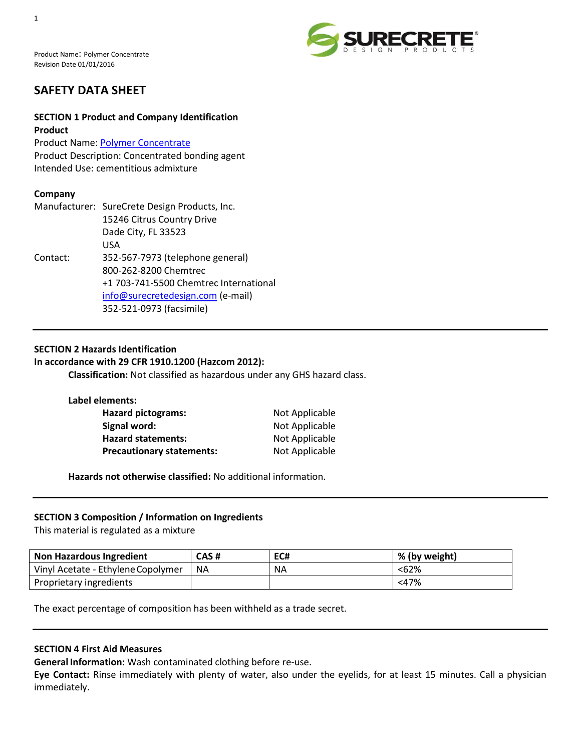Product Name: Polymer Concentrate Revision Date 01/01/2016



# **SAFETY DATA SHEET**

# **SECTION 1 Product and Company Identification Product**

Product Name: [Polymer Concentrate](http://www.surecretedesign.com/polymer-concentrate/) Product Description: Concentrated bonding agent Intended Use: cementitious admixture

# **Company**

|          | Manufacturer: SureCrete Design Products, Inc. |
|----------|-----------------------------------------------|
|          | 15246 Citrus Country Drive                    |
|          | Dade City, FL 33523                           |
|          | USA                                           |
| Contact: | 352-567-7973 (telephone general)              |
|          | 800-262-8200 Chemtrec                         |
|          | +1 703-741-5500 Chemtrec International        |
|          | info@surecretedesign.com (e-mail)             |
|          | 352-521-0973 (facsimile)                      |
|          |                                               |

# **SECTION 2 Hazards Identification**

# **In accordance with 29 CFR 1910.1200 (Hazcom 2012):**

**Classification:** Not classified as hazardous under any GHS hazard class.

| Label elements:                  |                |
|----------------------------------|----------------|
| <b>Hazard pictograms:</b>        | Not Applicable |
| Signal word:                     | Not Applicable |
| <b>Hazard statements:</b>        | Not Applicable |
| <b>Precautionary statements:</b> | Not Applicable |

**Hazards not otherwise classified:** No additional information.

## **SECTION 3 Composition / Information on Ingredients**

This material is regulated as a mixture

| <b>Non Hazardous Ingredient</b>    | CAS# | EC#       | % (by weight) |
|------------------------------------|------|-----------|---------------|
| Vinyl Acetate - Ethylene Copolymer | NA.  | <b>NA</b> | <62%          |
| Proprietary ingredients            |      |           | $<$ 47%       |

The exact percentage of composition has been withheld as a trade secret.

## **SECTION 4 First Aid Measures**

**General Information:** Wash contaminated clothing before re-use.

**Eye Contact:** Rinse immediately with plenty of water, also under the eyelids, for at least 15 minutes. Call a physician immediately.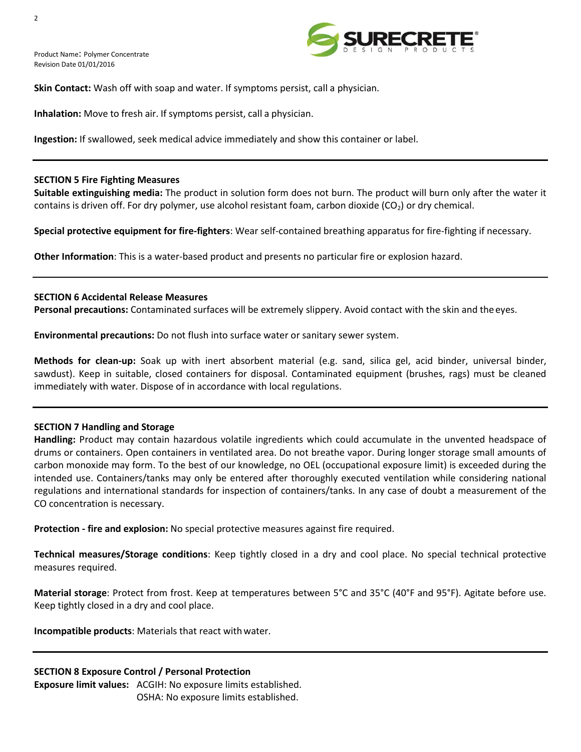Product Name: Polymer Concentrate Revision Date 01/01/2016



**Skin Contact:** Wash off with soap and water. If symptoms persist, call a physician.

**Inhalation:** Move to fresh air. If symptoms persist, call a physician.

**Ingestion:** If swallowed, seek medical advice immediately and show this container or label.

## **SECTION 5 Fire Fighting Measures**

**Suitable extinguishing media:** The product in solution form does not burn. The product will burn only after the water it contains is driven off. For dry polymer, use alcohol resistant foam, carbon dioxide  $(CO<sub>2</sub>)$  or dry chemical.

**Special protective equipment for fire-fighters**: Wear self-contained breathing apparatus for fire-fighting if necessary.

**Other Information**: This is a water-based product and presents no particular fire or explosion hazard.

## **SECTION 6 Accidental Release Measures**

**Personal precautions:** Contaminated surfaces will be extremely slippery. Avoid contact with the skin and theeyes.

**Environmental precautions:** Do not flush into surface water or sanitary sewer system.

**Methods for clean-up:** Soak up with inert absorbent material (e.g. sand, silica gel, acid binder, universal binder, sawdust). Keep in suitable, closed containers for disposal. Contaminated equipment (brushes, rags) must be cleaned immediately with water. Dispose of in accordance with local regulations.

## **SECTION 7 Handling and Storage**

**Handling:** Product may contain hazardous volatile ingredients which could accumulate in the unvented headspace of drums or containers. Open containers in ventilated area. Do not breathe vapor. During longer storage small amounts of carbon monoxide may form. To the best of our knowledge, no OEL (occupational exposure limit) is exceeded during the intended use. Containers/tanks may only be entered after thoroughly executed ventilation while considering national regulations and international standards for inspection of containers/tanks. In any case of doubt a measurement of the CO concentration is necessary.

**Protection - fire and explosion:** No special protective measures against fire required.

**Technical measures/Storage conditions**: Keep tightly closed in a dry and cool place. No special technical protective measures required.

**Material storage**: Protect from frost. Keep at temperatures between 5°C and 35°C (40°F and 95°F). Agitate before use. Keep tightly closed in a dry and cool place.

**Incompatible products:** Materials that react with water.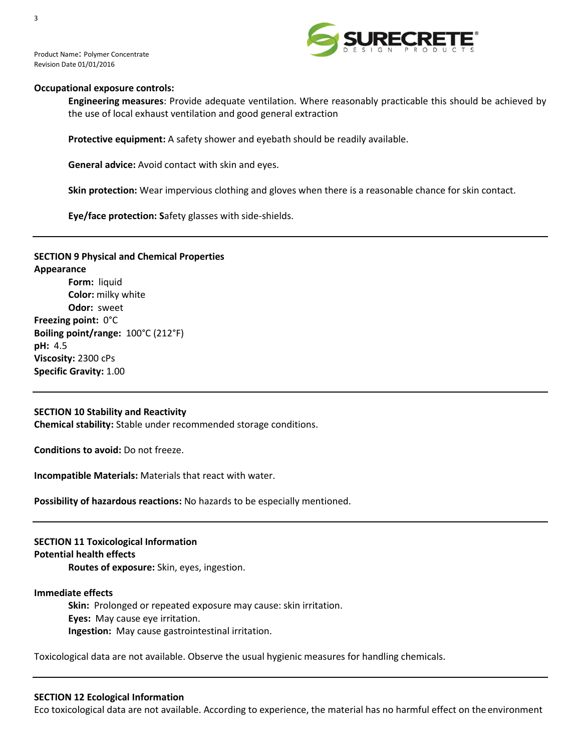



## **Occupational exposure controls:**

**Engineering measures**: Provide adequate ventilation. Where reasonably practicable this should be achieved by the use of local exhaust ventilation and good general extraction

**Protective equipment:** A safety shower and eyebath should be readily available.

**General advice:** Avoid contact with skin and eyes.

**Skin protection:** Wear impervious clothing and gloves when there is a reasonable chance for skin contact.

**Eye/face protection: S**afety glasses with side-shields.

# **SECTION 9 Physical and Chemical Properties Appearance Form:** liquid **Color:** milky white **Odor:** sweet **Freezing point:** 0°C **Boiling point/range:** 100°C (212°F) **pH:** 4.5 **Viscosity:** 2300 cPs **Specific Gravity:** 1.00

#### **SECTION 10 Stability and Reactivity**

**Chemical stability:** Stable under recommended storage conditions.

**Conditions to avoid:** Do not freeze.

**Incompatible Materials:** Materials that react with water.

**Possibility of hazardous reactions:** No hazards to be especially mentioned.

## **SECTION 11 Toxicological Information Potential health effects**

**Routes of exposure:** Skin, eyes, ingestion.

### **Immediate effects**

**Skin:** Prolonged or repeated exposure may cause: skin irritation. **Eyes:** May cause eye irritation. **Ingestion:** May cause gastrointestinal irritation.

Toxicological data are not available. Observe the usual hygienic measures for handling chemicals.

#### **SECTION 12 Ecological Information**

Eco toxicological data are not available. According to experience, the material has no harmful effect on the environment